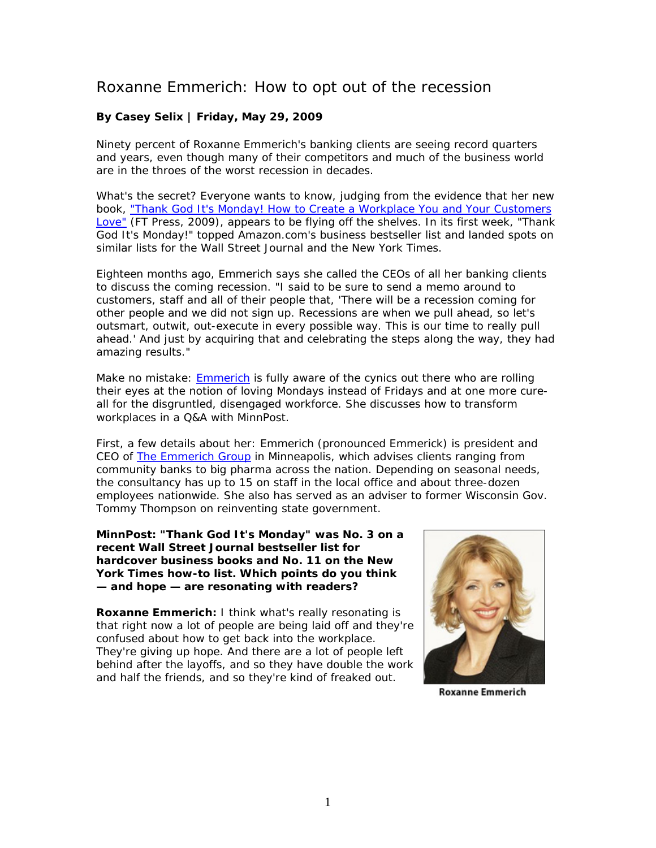# Roxanne Emmerich: How to opt out of the recession

## **By Casey Selix | Friday, May 29, 2009**

Ninety percent of Roxanne Emmerich's banking clients are seeing record quarters and years, even though many of their competitors and much of the business world are in the throes of the worst recession in decades.

What's the secret? Everyone wants to know, judging from the evidence that her new book, ["Thank God It's Monday! How to Create a Workplace You and Your Customers](http://www.thankgoditsmonday.com/)  [Love"](http://www.thankgoditsmonday.com/) (FT Press, 2009), appears to be flying off the shelves. In its first week, "Thank God It's Monday!" topped Amazon.com's business bestseller list and landed spots on similar lists for the Wall Street Journal and the New York Times.

Eighteen months ago, Emmerich says she called the CEOs of all her banking clients to discuss the coming recession. "I said to be sure to send a memo around to customers, staff and all of their people that, 'There will be a recession coming for *other* people and *we did not sign up*. Recessions are when we pull ahead, so let's outsmart, outwit, out-execute in every possible way. This is our time to really pull ahead.' And just by acquiring that and celebrating the steps along the way, they had amazing results."

Make no mistake: [Emmerich](http://www.roxanneemmerich.com/) is fully aware of the cynics out there who are rolling their eyes at the notion of loving Mondays instead of Fridays and at one more cureall for the disgruntled, disengaged workforce. She discusses how to transform workplaces in a Q&A with MinnPost.

First, a few details about her: Emmerich (pronounced Emmerick) is president and CEO of [The Emmerich Group](http://www.emmerichfinancial.com/) in Minneapolis, which advises clients ranging from community banks to big pharma across the nation. Depending on seasonal needs, the consultancy has up to 15 on staff in the local office and about three-dozen employees nationwide. She also has served as an adviser to former Wisconsin Gov. Tommy Thompson on reinventing state government.

**MinnPost: "Thank God It's Monday" was No. 3 on a recent Wall Street Journal bestseller list for hardcover business books and No. 11 on the New York Times how-to list. Which points do you think — and hope — are resonating with readers?** 

**Roxanne Emmerich:** I think what's really resonating is that right now a lot of people are being laid off and they're confused about how to get back into the workplace. They're giving up hope. And there are a lot of people left behind after the layoffs, and so they have double the work and half the friends, and so they're kind of freaked out.



**Roxanne Emmerich**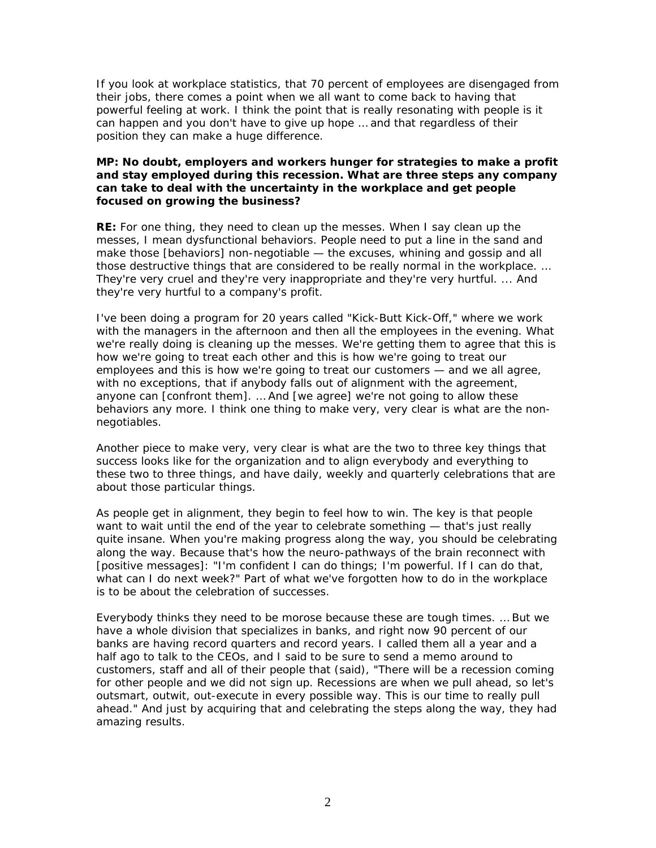If you look at workplace statistics, that 70 percent of employees are disengaged from their jobs, there comes a point when we all want to come back to having that powerful feeling at work. I think the point that is really resonating with people is it can happen and you don't have to give up hope … and that regardless of their position they can make a huge difference.

## **MP: No doubt, employers and workers hunger for strategies to make a profit and stay employed during this recession. What are three steps any company can take to deal with the uncertainty in the workplace and get people focused on growing the business?**

**RE:** For one thing, they need to clean up the messes. When I say clean up the messes, I mean dysfunctional behaviors. People need to put a line in the sand and make those [behaviors] non-negotiable — the excuses, whining and gossip and all those destructive things that are considered to be really normal in the workplace. … They're very cruel and they're very inappropriate and they're very hurtful. ... And they're very hurtful to a company's profit.

I've been doing a program for 20 years called "Kick-Butt Kick-Off," where we work with the managers in the afternoon and then all the employees in the evening. What we're really doing is cleaning up the messes. We're getting them to agree that this is how we're going to treat each other and this is how we're going to treat our employees and this is how we're going to treat our customers — and we all agree, with no exceptions, that if anybody falls out of alignment with the agreement, anyone can [confront them]. … And [we agree] we're not going to allow these behaviors any more. I think one thing to make very, very clear is what are the nonnegotiables.

Another piece to make very, very clear is what are the two to three key things that success looks like for the organization and to align everybody and everything to these two to three things, and have daily, weekly and quarterly celebrations that are about those particular things.

As people get in alignment, they begin to feel how to win. The key is that people want to wait until the end of the year to celebrate something — that's just really quite insane. When you're making progress along the way, you should be celebrating along the way. Because that's how the neuro-pathways of the brain reconnect with [positive messages]: "I'm confident I can do things; I'm powerful. If I can do that, what can I do next week?" Part of what we've forgotten how to do in the workplace is to be about the celebration of successes.

Everybody thinks they need to be morose because these are tough times. … But we have a whole division that specializes in banks, and right now 90 percent of our banks are having record quarters and record years. I called them all a year and a half ago to talk to the CEOs, and I said to be sure to send a memo around to customers, staff and all of their people that (said), "There will be a recession coming for other people and *we did not sign up*. Recessions are when we pull ahead, so let's outsmart, outwit, out-execute in every possible way. This is our time to really pull ahead." And just by acquiring that and celebrating the steps along the way, they had amazing results.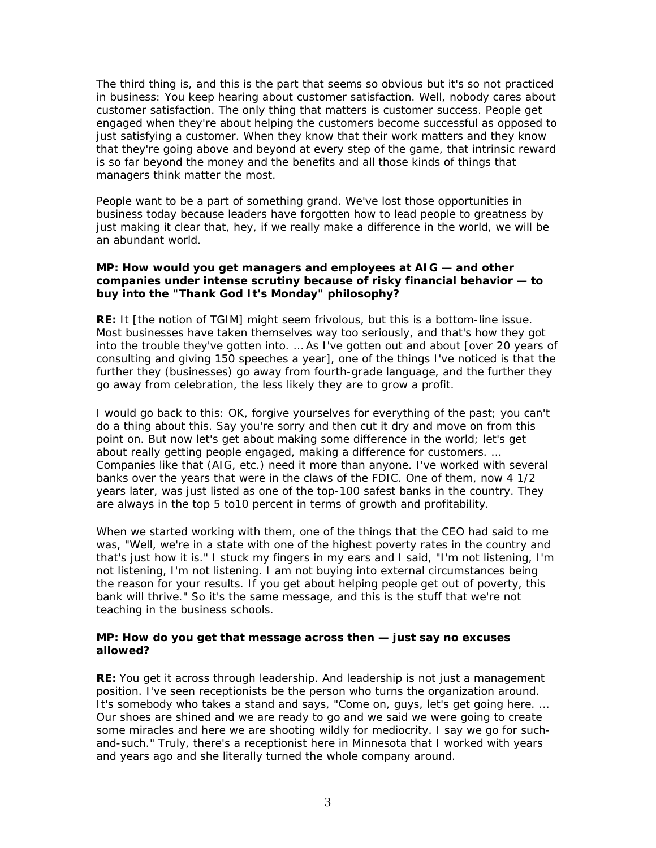The third thing is, and this is the part that seems so obvious but it's *so not* practiced in business: You keep hearing about customer satisfaction. Well, nobody cares about customer satisfaction. The only thing that matters is customer *success*. People get engaged when they're about helping the customers become successful as opposed to just satisfying a customer. When they know that their work matters and they know that they're going above and beyond at every step of the game, that intrinsic reward is so far beyond the money and the benefits and all those kinds of things that managers *think* matter the most.

People want to be a part of something grand. We've lost those opportunities in business today because leaders have forgotten how to lead people to greatness by just making it clear that, hey, if we really make a difference in the world, we will be an abundant world.

## **MP: How would you get managers and employees at AIG — and other companies under intense scrutiny because of risky financial behavior — to buy into the "Thank God It's Monday" philosophy?**

**RE:** It [the notion of TGIM] might seem frivolous, but this is a bottom-line issue. Most businesses have taken themselves way too seriously, and that's how they got into the trouble they've gotten into. … As I've gotten out and about [over 20 years of consulting and giving 150 speeches a year], one of the things I've noticed is that the further they (businesses) go away from fourth-grade language, and the further they go away from celebration, the less likely they are to grow a profit.

I would go back to this: OK, forgive yourselves for everything of the past; you can't do a thing about this. Say you're sorry and then cut it dry and move on from this point on. But now let's get about making some difference in the world; let's get about really getting people engaged, making a difference for customers. … Companies like that (AIG, etc.) need it more than anyone. I've worked with several banks over the years that were in the claws of the FDIC. One of them, now 4 1/2 years later, was just listed as one of the top-100 safest banks in the country. They are always in the top 5 to10 percent in terms of growth and profitability.

When we started working with them, one of the things that the CEO had said to me was, "Well, we're in a state with one of the highest poverty rates in the country and that's just how it is." I stuck my fingers in my ears and I said, "I'm not listening, I'm not listening, I'm not listening. I am not buying into external circumstances being the reason for your results. If you get about helping people *get out of* poverty, this bank will thrive." So it's the same message, and this is the stuff that we're not teaching in the business schools.

## **MP: How do you get that message across then — just say no excuses allowed?**

**RE:** You get it across through leadership. And leadership is not just a management position. I've seen receptionists be the person who turns the organization around. It's somebody who takes a stand and says, "Come on, guys, let's get going here. … Our shoes are shined and we are ready to go and we said we were going to create some miracles and here we are shooting wildly for mediocrity. I say we go for suchand-such." Truly, there's a receptionist here in Minnesota that I worked with years and years ago and she literally turned the whole company around.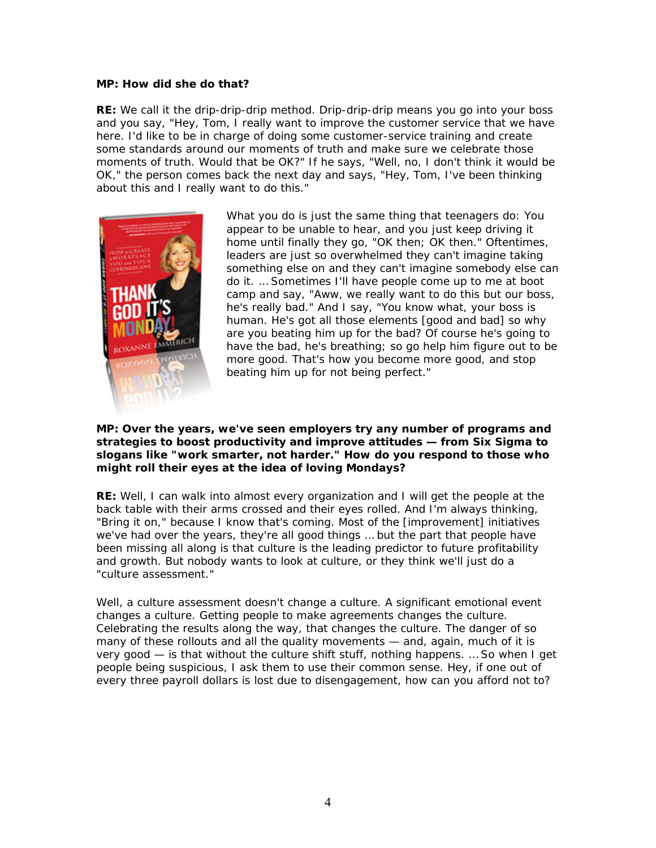#### **MP: How did she do that?**

**RE:** We call it the drip-drip-drip method. Drip-drip-drip means you go into your boss and you say, "Hey, Tom, I really want to improve the customer service that we have here. I'd like to be in charge of doing some customer-service training and create some standards around our moments of truth and make sure we celebrate those moments of truth. Would that be OK?" If he says, "Well, no, I don't think it would be OK," the person comes back the next day and says, "Hey, Tom, I've been thinking about this and I really want to do this."



What you do is just the same thing that teenagers do: You appear to be unable to hear, and you just keep driving it home until finally they go, "OK then; OK then." Oftentimes, leaders are just so overwhelmed they can't imagine taking something else on and they can't imagine somebody else can do it. … Sometimes I'll have people come up to me at boot camp and say, "Aww, we really want to do this but our boss, he's really bad." And I say, "You know what, your boss is human. He's got all those elements [good and bad] so why are you beating him up for the bad? Of course he's going to have the bad, he's breathing; so go help him figure out to be more good. That's how you become more good, and stop beating him up for not being perfect."

## **MP: Over the years, we've seen employers try any number of programs and strategies to boost productivity and improve attitudes — from Six Sigma to slogans like "work smarter, not harder." How do you respond to those who might roll their eyes at the idea of loving Mondays?**

**RE:** Well, I can walk into almost every organization and I will get the people at the back table with their arms crossed and their eyes rolled. And I'm always thinking, "Bring it on," because I know that's coming. Most of the [improvement] initiatives we've had over the years, they're all good things … but the part that people have been missing all along is that culture is the leading predictor to future profitability and growth. But nobody wants to look at culture, or they think we'll just do a "culture assessment."

Well, a culture assessment doesn't *change* a culture. A significant emotional event changes a culture. Getting people to make agreements changes the culture. Celebrating the results along the way, that changes the culture. The danger of so many of these rollouts and all the quality movements — and, again, much of it is very good — is that without the culture shift stuff, nothing happens. … So when I get people being suspicious, I ask them to use their common sense. Hey, if one out of every three payroll dollars is lost due to disengagement, how can you afford not to?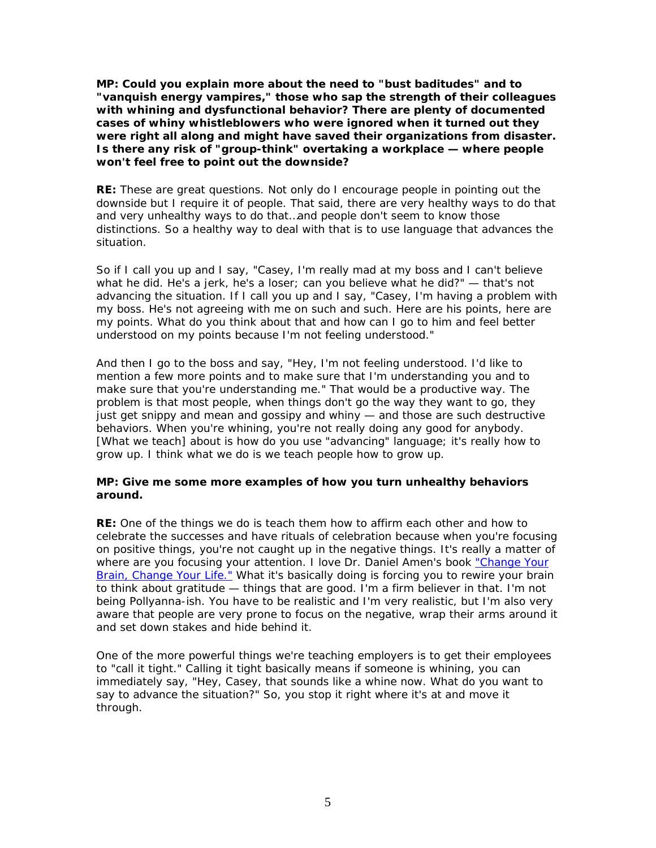**MP: Could you explain more about the need to "bust baditudes" and to "vanquish energy vampires," those who sap the strength of their colleagues with whining and dysfunctional behavior? There are plenty of documented cases of whiny whistleblowers who were ignored when it turned out they were right all along and might have saved their organizations from disaster. Is there any risk of "group-think" overtaking a workplace — where people won't feel free to point out the downside?**

**RE:** These are great questions. Not only do I encourage people in pointing out the downside but I require it of people. That said, there are very healthy ways to do that and very unhealthy ways to do that…and people don't seem to know those distinctions. So a healthy way to deal with that is to use language that advances the situation.

So if I call you up and I say, "Casey, I'm really mad at my boss and I can't believe what he did. He's a jerk, he's a loser; can you believe what he did?" — that's not advancing the situation. If I call you up and I say, "Casey, I'm having a problem with my boss. He's not agreeing with me on such and such. Here are his points, here are my points. What do you think about that and how can I go to him and feel better understood on my points because I'm not feeling understood."

And then I go to the boss and say, "Hey, I'm not feeling understood. I'd like to mention a few more points and to make sure that I'm understanding you and to make sure that you're understanding me." That would be a productive way. The problem is that most people, when things don't go the way they want to go, they just get snippy and mean and gossipy and whiny — and those are such destructive behaviors. When you're whining, you're not really doing any good for anybody. [What we teach] about is how do you use "advancing" language; it's really how to grow up. I think what we do is we teach people how to grow up.

## **MP: Give me some more examples of how you turn unhealthy behaviors around.**

**RE:** One of the things we do is teach them how to affirm each other and how to celebrate the successes and have rituals of celebration because when you're focusing on positive things, you're not caught up in the negative things. It's really a matter of where are you focusing your attention. I love Dr. Daniel Amen's book ["Change Your](http://www.amenclinics.com/pbs/)  [Brain, Change Your Life."](http://www.amenclinics.com/pbs/) What it's basically doing is forcing you to rewire your brain to think about gratitude — things that are good. I'm a firm believer in that. I'm not being Pollyanna-ish. You have to be realistic and I'm very realistic, but I'm also very aware that people are very prone to focus on the negative, wrap their arms around it and set down stakes and hide behind it.

One of the more powerful things we're teaching employers is to get their employees to "call it tight." Calling it tight basically means if someone is whining, you can immediately say, "Hey, Casey, that sounds like a whine now. What do you want to say to advance the situation?" So, you stop it right where it's at and move it through.